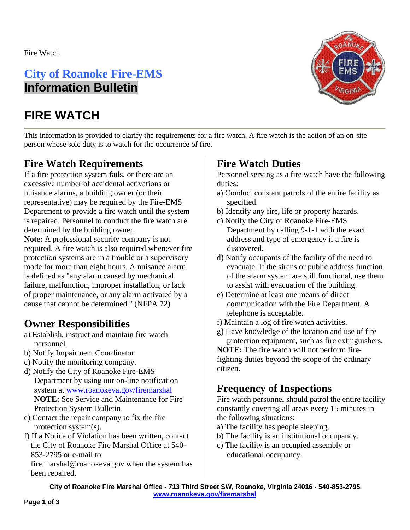Fire Watch

## **City of Roanoke Fire-EMS Information Bulletin**

# **FIRE WATCH**



This information is provided to clarify the requirements for a fire watch. A fire watch is the action of an on-site person whose sole duty is to watch for the occurrence of fire.

## **Fire Watch Requirements**

If a fire protection system fails, or there are an excessive number of accidental activations or nuisance alarms, a building owner (or their representative) may be required by the Fire-EMS Department to provide a fire watch until the system is repaired. Personnel to conduct the fire watch are determined by the building owner.

**Note:** A professional security company is not required. A fire watch is also required whenever fire protection systems are in a trouble or a supervisory mode for more than eight hours. A nuisance alarm is defined as "any alarm caused by mechanical failure, malfunction, improper installation, or lack of proper maintenance, or any alarm activated by a cause that cannot be determined." (NFPA 72)

## **Owner Responsibilities**

- a) Establish, instruct and maintain fire watch personnel.
- b) Notify Impairment Coordinator
- c) Notify the monitoring company.
- d) Notify the City of Roanoke Fire-EMS Department by using our on-line notification system at www.roanokeva.gov/firemarshal **NOTE:** See Service and Maintenance for Fire Protection System Bulletin
- e) Contact the repair company to fix the fire protection system(s).
- f) If a Notice of Violation has been written, contact the City of Roanoke Fire Marshal Office at 540- 853-2795 or e-mail to

fire.marshal@roanokeva.gov when the system has been repaired.

## **Fire Watch Duties**

Personnel serving as a fire watch have the following duties:

- a) Conduct constant patrols of the entire facility as specified.
- b) Identify any fire, life or property hazards.
- c) Notify the City of Roanoke Fire-EMS Department by calling 9-1-1 with the exact address and type of emergency if a fire is discovered.
- d) Notify occupants of the facility of the need to evacuate. If the sirens or public address function of the alarm system are still functional, use them to assist with evacuation of the building.
- e) Determine at least one means of direct communication with the Fire Department. A telephone is acceptable.
- f) Maintain a log of fire watch activities.
- g) Have knowledge of the location and use of fire protection equipment, such as fire extinguishers.

**NOTE:** The fire watch will not perform firefighting duties beyond the scope of the ordinary citizen.

## **Frequency of Inspections**

Fire watch personnel should patrol the entire facility constantly covering all areas every 15 minutes in the following situations:

- a) The facility has people sleeping.
- b) The facility is an institutional occupancy.
- c) The facility is an occupied assembly or educational occupancy.

**City of Roanoke Fire Marshal Office - 713 Third Street SW, Roanoke, Virginia 24016 - 540-853-2795 www.roanokeva.gov/firemarshal**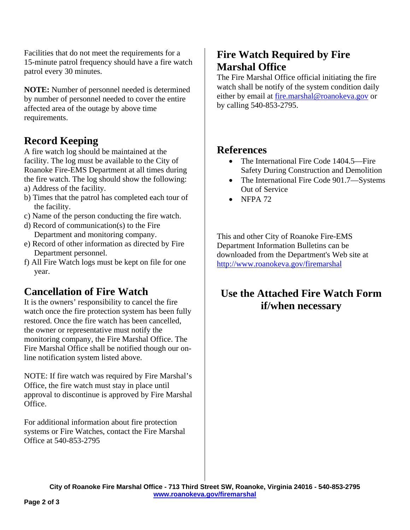Facilities that do not meet the requirements for a 15-minute patrol frequency should have a fire watch patrol every 30 minutes.

**NOTE:** Number of personnel needed is determined by number of personnel needed to cover the entire affected area of the outage by above time requirements.

#### **Record Keeping**

A fire watch log should be maintained at the facility. The log must be available to the City of Roanoke Fire-EMS Department at all times during the fire watch. The log should show the following:

- a) Address of the facility.
- b) Times that the patrol has completed each tour of the facility.
- c) Name of the person conducting the fire watch.
- d) Record of communication(s) to the Fire Department and monitoring company.
- e) Record of other information as directed by Fire Department personnel.
- f) All Fire Watch logs must be kept on file for one year.

#### **Cancellation of Fire Watch**

It is the owners' responsibility to cancel the fire watch once the fire protection system has been fully restored. Once the fire watch has been cancelled, the owner or representative must notify the monitoring company, the Fire Marshal Office. The Fire Marshal Office shall be notified though our online notification system listed above.

NOTE: If fire watch was required by Fire Marshal's Office, the fire watch must stay in place until approval to discontinue is approved by Fire Marshal Office.

For additional information about fire protection systems or Fire Watches, contact the Fire Marshal Office at 540-853-2795

#### **Fire Watch Required by Fire Marshal Office**

The Fire Marshal Office official initiating the fire watch shall be notify of the system condition daily either by email at fire.marshal@roanokeva.gov or by calling 540-853-2795.

#### **References**

- The International Fire Code 1404.5—Fire Safety During Construction and Demolition
- The International Fire Code 901.7—Systems Out of Service
- $\bullet$  NFPA 72

This and other City of Roanoke Fire-EMS Department Information Bulletins can be downloaded from the Department's Web site at http://www.roanokeva.gov/firemarshal

#### **Use the Attached Fire Watch Form if/when necessary**